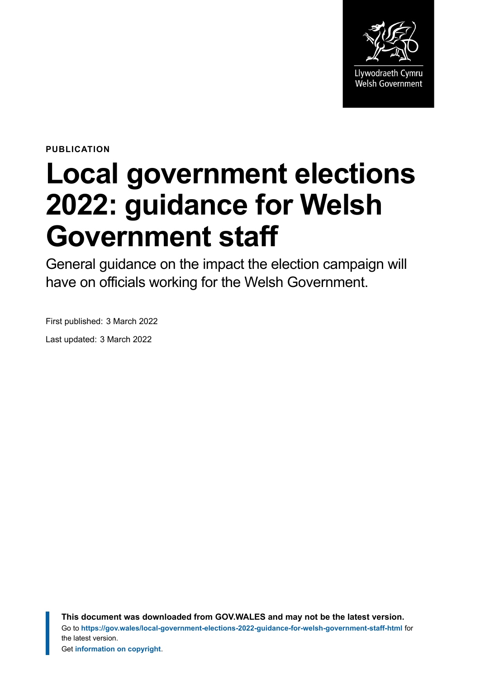

**PUBLICATION**

# **Local government elections 2022: guidance for Welsh Government staff**

General guidance on the impact the election campaign will have on officials working for the Welsh Government.

First published: 3 March 2022

Last updated: 3 March 2022

**This document was downloaded from GOV.WALES and may not be the latest version.** Go to **<https://gov.wales/local-government-elections-2022-guidance-for-welsh-government-staff-html>** for the latest version. Get **[information on copyright](https://gov.wales/copyright-statement)**.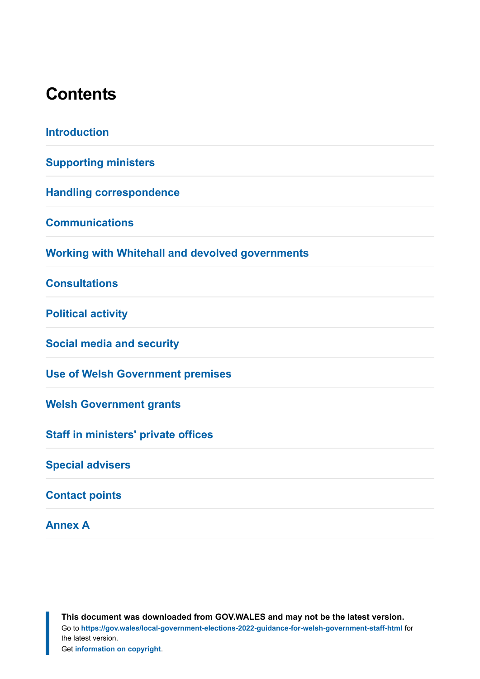#### **Contents**

| <b>Introduction</b>                                    |
|--------------------------------------------------------|
| <b>Supporting ministers</b>                            |
| <b>Handling correspondence</b>                         |
| <b>Communications</b>                                  |
| <b>Working with Whitehall and devolved governments</b> |
| <b>Consultations</b>                                   |
| <b>Political activity</b>                              |
| <b>Social media and security</b>                       |
| <b>Use of Welsh Government premises</b>                |
| <b>Welsh Government grants</b>                         |
| <b>Staff in ministers' private offices</b>             |
| <b>Special advisers</b>                                |
| <b>Contact points</b>                                  |
| <b>Annex A</b>                                         |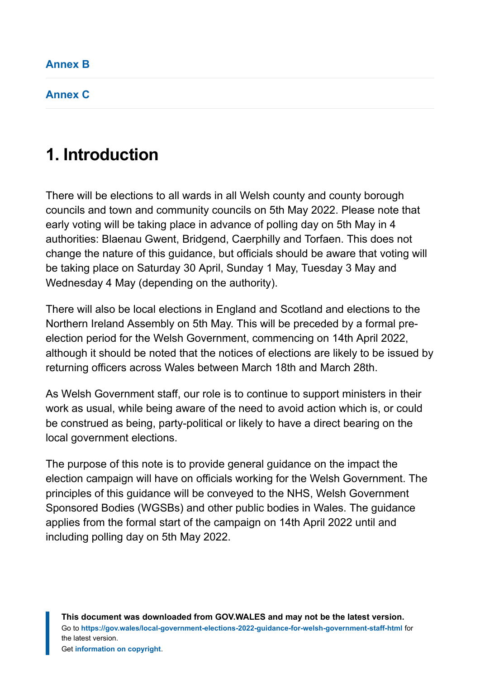**[Annex C](#page-17-0)**

### <span id="page-2-0"></span>**1. Introduction**

There will be elections to all wards in all Welsh county and county borough councils and town and community councils on 5th May 2022. Please note that early voting will be taking place in advance of polling day on 5th May in 4 authorities: Blaenau Gwent, Bridgend, Caerphilly and Torfaen. This does not change the nature of this guidance, but officials should be aware that voting will be taking place on Saturday 30 April, Sunday 1 May, Tuesday 3 May and Wednesday 4 May (depending on the authority).

There will also be local elections in England and Scotland and elections to the Northern Ireland Assembly on 5th May. This will be preceded by a formal preelection period for the Welsh Government, commencing on 14th April 2022, although it should be noted that the notices of elections are likely to be issued by returning officers across Wales between March 18th and March 28th.

As Welsh Government staff, our role is to continue to support ministers in their work as usual, while being aware of the need to avoid action which is, or could be construed as being, party-political or likely to have a direct bearing on the local government elections.

The purpose of this note is to provide general guidance on the impact the election campaign will have on officials working for the Welsh Government. The principles of this guidance will be conveyed to the NHS, Welsh Government Sponsored Bodies (WGSBs) and other public bodies in Wales. The guidance applies from the formal start of the campaign on 14th April 2022 until and including polling day on 5th May 2022.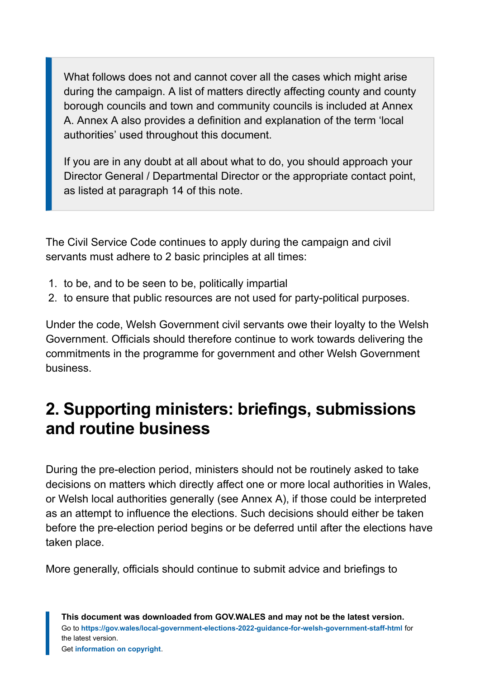What follows does not and cannot cover all the cases which might arise during the campaign. A list of matters directly affecting county and county borough councils and town and community councils is included at Annex A. Annex A also provides a definition and explanation of the term 'local authorities' used throughout this document.

If you are in any doubt at all about what to do, you should approach your Director General / Departmental Director or the appropriate contact point, as listed at paragraph 14 of this note.

The Civil Service Code continues to apply during the campaign and civil servants must adhere to 2 basic principles at all times:

- 1. to be, and to be seen to be, politically impartial
- 2. to ensure that public resources are not used for party-political purposes.

Under the code, Welsh Government civil servants owe their loyalty to the Welsh Government. Officials should therefore continue to work towards delivering the commitments in the programme for government and other Welsh Government business.

### <span id="page-3-0"></span>**2. Supporting ministers: briefings, submissions and routine business**

During the pre-election period, ministers should not be routinely asked to take decisions on matters which directly affect one or more local authorities in Wales, or Welsh local authorities generally (see Annex A), if those could be interpreted as an attempt to influence the elections. Such decisions should either be taken before the pre-election period begins or be deferred until after the elections have taken place.

More generally, officials should continue to submit advice and briefings to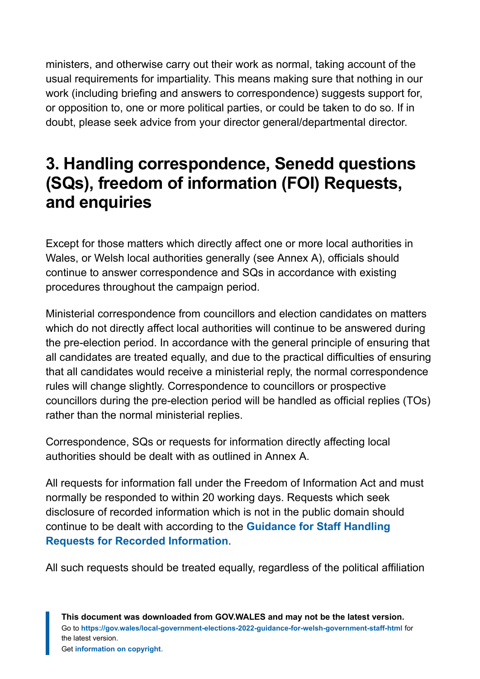ministers, and otherwise carry out their work as normal, taking account of the usual requirements for impartiality. This means making sure that nothing in our work (including briefing and answers to correspondence) suggests support for, or opposition to, one or more political parties, or could be taken to do so. If in doubt, please seek advice from your director general/departmental director.

### <span id="page-4-0"></span>**3. Handling correspondence, Senedd questions (SQs), freedom of information (FOI) Requests, and enquiries**

Except for those matters which directly affect one or more local authorities in Wales, or Welsh local authorities generally (see Annex A), officials should continue to answer correspondence and SQs in accordance with existing procedures throughout the campaign period.

Ministerial correspondence from councillors and election candidates on matters which do not directly affect local authorities will continue to be answered during the pre-election period. In accordance with the general principle of ensuring that all candidates are treated equally, and due to the practical difficulties of ensuring that all candidates would receive a ministerial reply, the normal correspondence rules will change slightly. Correspondence to councillors or prospective councillors during the pre-election period will be handled as official replies (TOs) rather than the normal ministerial replies.

Correspondence, SQs or requests for information directly affecting local authorities should be dealt with as outlined in Annex A.

All requests for information fall under the Freedom of Information Act and must normally be responded to within 20 working days. Requests which seek disclosure of recorded information which is not in the public domain should continue to be dealt with according to the **[Guidance for Staff Handling](https://gov.wales/sites/default/files/inline-documents/2022-03/handling-foi-requests.docx) [Requests for Recorded Information](https://gov.wales/sites/default/files/inline-documents/2022-03/handling-foi-requests.docx)**.

All such requests should be treated equally, regardless of the political affiliation

**This document was downloaded from GOV.WALES and may not be the latest version.** Go to **<https://gov.wales/local-government-elections-2022-guidance-for-welsh-government-staff-html>** for the latest version. Get **[information on copyright](https://gov.wales/copyright-statement)**.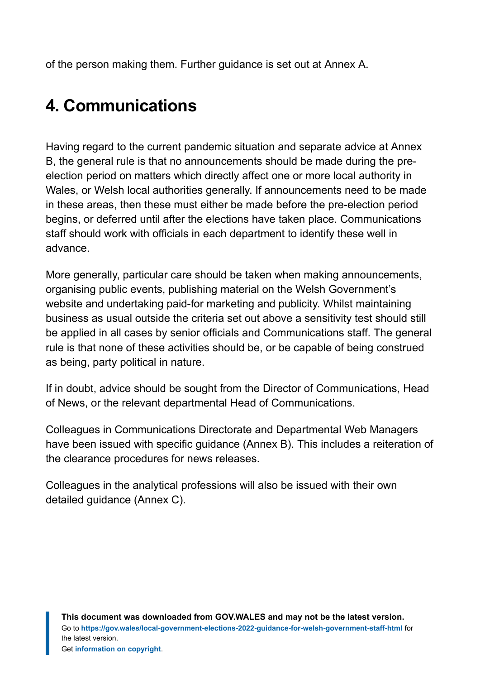of the person making them. Further guidance is set out at Annex A.

### <span id="page-5-0"></span>**4. Communications**

Having regard to the current pandemic situation and separate advice at Annex B, the general rule is that no announcements should be made during the preelection period on matters which directly affect one or more local authority in Wales, or Welsh local authorities generally. If announcements need to be made in these areas, then these must either be made before the pre-election period begins, or deferred until after the elections have taken place. Communications staff should work with officials in each department to identify these well in advance.

More generally, particular care should be taken when making announcements, organising public events, publishing material on the Welsh Government's website and undertaking paid-for marketing and publicity. Whilst maintaining business as usual outside the criteria set out above a sensitivity test should still be applied in all cases by senior officials and Communications staff. The general rule is that none of these activities should be, or be capable of being construed as being, party political in nature.

If in doubt, advice should be sought from the Director of Communications, Head of News, or the relevant departmental Head of Communications.

Colleagues in Communications Directorate and Departmental Web Managers have been issued with specific guidance (Annex B). This includes a reiteration of the clearance procedures for news releases.

Colleagues in the analytical professions will also be issued with their own detailed guidance (Annex C).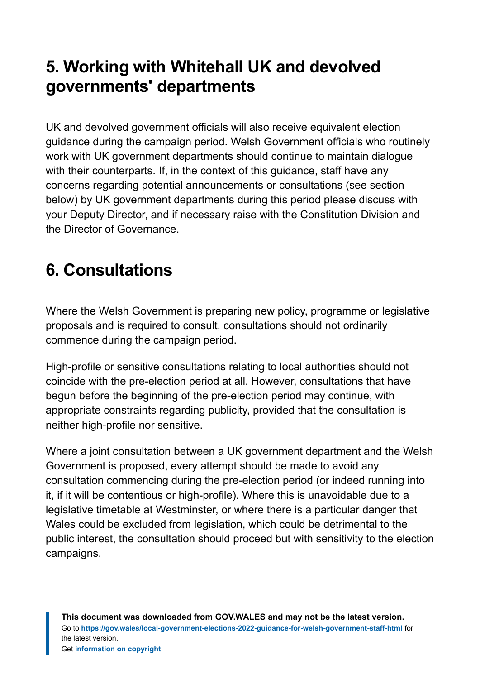### <span id="page-6-0"></span>**5. Working with Whitehall UK and devolved governments' departments**

UK and devolved government officials will also receive equivalent election guidance during the campaign period. Welsh Government officials who routinely work with UK government departments should continue to maintain dialogue with their counterparts. If, in the context of this guidance, staff have any concerns regarding potential announcements or consultations (see section below) by UK government departments during this period please discuss with your Deputy Director, and if necessary raise with the Constitution Division and the Director of Governance.

## <span id="page-6-1"></span>**6. Consultations**

Where the Welsh Government is preparing new policy, programme or legislative proposals and is required to consult, consultations should not ordinarily commence during the campaign period.

High-profile or sensitive consultations relating to local authorities should not coincide with the pre-election period at all. However, consultations that have begun before the beginning of the pre-election period may continue, with appropriate constraints regarding publicity, provided that the consultation is neither high-profile nor sensitive.

Where a joint consultation between a UK government department and the Welsh Government is proposed, every attempt should be made to avoid any consultation commencing during the pre-election period (or indeed running into it, if it will be contentious or high-profile). Where this is unavoidable due to a legislative timetable at Westminster, or where there is a particular danger that Wales could be excluded from legislation, which could be detrimental to the public interest, the consultation should proceed but with sensitivity to the election campaigns.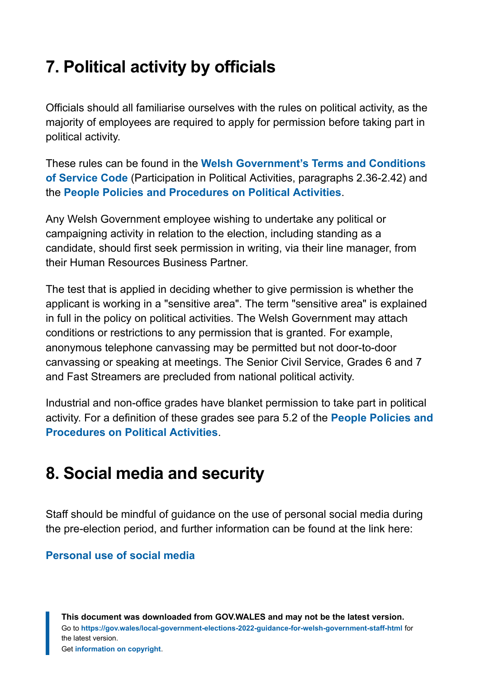### <span id="page-7-0"></span>**7. Political activity by officials**

Officials should all familiarise ourselves with the rules on political activity, as the majority of employees are required to apply for permission before taking part in political activity.

These rules can be found in the **[Welsh Government's Terms and Conditions](https://gov.wales/sites/default/files/inline-documents/2022-03/welsh-government-terms-and-conditions-of-service.doc) [of Service Code](https://gov.wales/sites/default/files/inline-documents/2022-03/welsh-government-terms-and-conditions-of-service.doc)** (Participation in Political Activities, paragraphs 2.36-2.42) and the **[People Policies and Procedures on Political Activities](https://gov.wales/sites/default/files/inline-documents/2022-03/political-activities-policy.doc)**.

Any Welsh Government employee wishing to undertake any political or campaigning activity in relation to the election, including standing as a candidate, should first seek permission in writing, via their line manager, from their Human Resources Business Partner.

The test that is applied in deciding whether to give permission is whether the applicant is working in a "sensitive area". The term "sensitive area" is explained in full in the policy on political activities. The Welsh Government may attach conditions or restrictions to any permission that is granted. For example, anonymous telephone canvassing may be permitted but not door-to-door canvassing or speaking at meetings. The Senior Civil Service, Grades 6 and 7 and Fast Streamers are precluded from national political activity.

Industrial and non-office grades have blanket permission to take part in political activity. For a definition of these grades see para 5.2 of the **[People Policies and](https://gov.wales/sites/default/files/inline-documents/2022-03/political-activities-policy.doc) [Procedures on Political Activities](https://gov.wales/sites/default/files/inline-documents/2022-03/political-activities-policy.doc)**.

#### <span id="page-7-1"></span>**8. Social media and security**

Staff should be mindful of guidance on the use of personal social media during the pre-election period, and further information can be found at the link here:

#### **[Personal use of social media](https://gov.wales/sites/default/files/inline-documents/2022-03/personal-use-of-social-media.pdf)**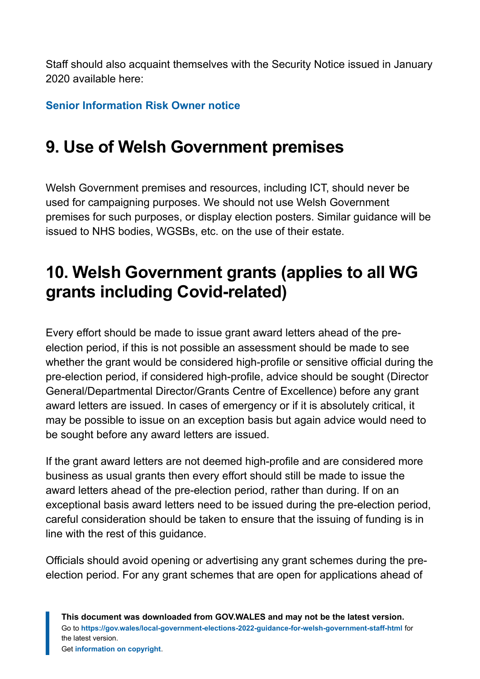Staff should also acquaint themselves with the Security Notice issued in January 2020 available here:

**[Senior Information Risk Owner notice](https://gov.wales/sites/default/files/inline-documents/2022-03/siro-notices.pdf)**

### <span id="page-8-0"></span>**9. Use of Welsh Government premises**

Welsh Government premises and resources, including ICT, should never be used for campaigning purposes. We should not use Welsh Government premises for such purposes, or display election posters. Similar guidance will be issued to NHS bodies, WGSBs, etc. on the use of their estate.

### <span id="page-8-1"></span>**10. Welsh Government grants (applies to all WG grants including Covid-related)**

Every effort should be made to issue grant award letters ahead of the preelection period, if this is not possible an assessment should be made to see whether the grant would be considered high-profile or sensitive official during the pre-election period, if considered high-profile, advice should be sought (Director General/Departmental Director/Grants Centre of Excellence) before any grant award letters are issued. In cases of emergency or if it is absolutely critical, it may be possible to issue on an exception basis but again advice would need to be sought before any award letters are issued.

If the grant award letters are not deemed high-profile and are considered more business as usual grants then every effort should still be made to issue the award letters ahead of the pre-election period, rather than during. If on an exceptional basis award letters need to be issued during the pre-election period, careful consideration should be taken to ensure that the issuing of funding is in line with the rest of this guidance.

Officials should avoid opening or advertising any grant schemes during the preelection period. For any grant schemes that are open for applications ahead of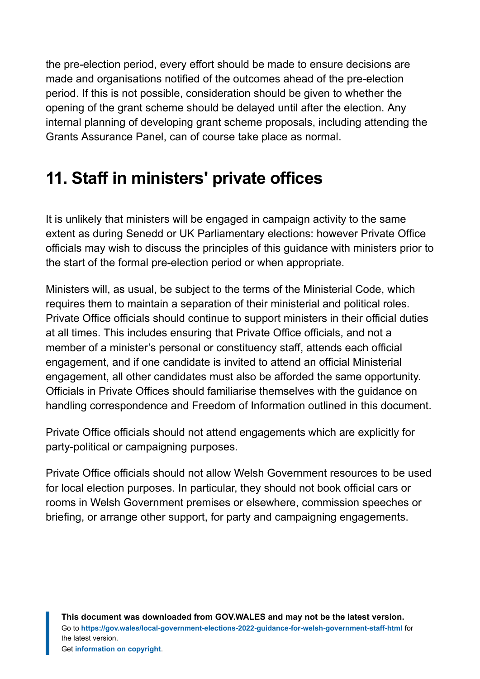the pre-election period, every effort should be made to ensure decisions are made and organisations notified of the outcomes ahead of the pre-election period. If this is not possible, consideration should be given to whether the opening of the grant scheme should be delayed until after the election. Any internal planning of developing grant scheme proposals, including attending the Grants Assurance Panel, can of course take place as normal.

### <span id="page-9-0"></span>**11. Staff in ministers' private offices**

It is unlikely that ministers will be engaged in campaign activity to the same extent as during Senedd or UK Parliamentary elections: however Private Office officials may wish to discuss the principles of this guidance with ministers prior to the start of the formal pre-election period or when appropriate.

Ministers will, as usual, be subject to the terms of the Ministerial Code, which requires them to maintain a separation of their ministerial and political roles. Private Office officials should continue to support ministers in their official duties at all times. This includes ensuring that Private Office officials, and not a member of a minister's personal or constituency staff, attends each official engagement, and if one candidate is invited to attend an official Ministerial engagement, all other candidates must also be afforded the same opportunity. Officials in Private Offices should familiarise themselves with the guidance on handling correspondence and Freedom of Information outlined in this document.

Private Office officials should not attend engagements which are explicitly for party-political or campaigning purposes.

Private Office officials should not allow Welsh Government resources to be used for local election purposes. In particular, they should not book official cars or rooms in Welsh Government premises or elsewhere, commission speeches or briefing, or arrange other support, for party and campaigning engagements.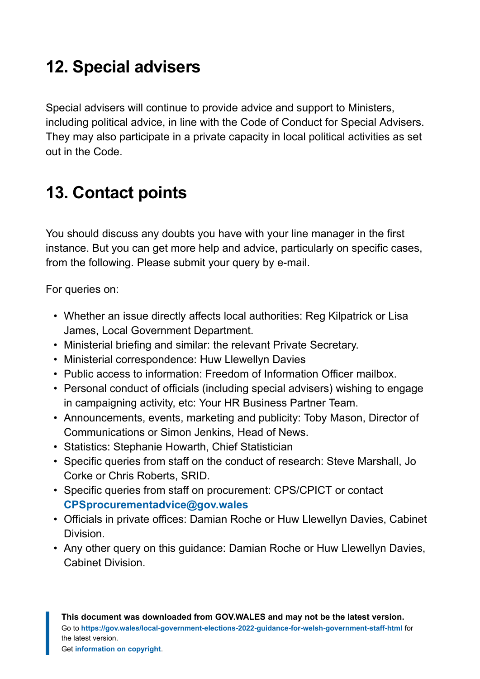### <span id="page-10-0"></span>**12. Special advisers**

Special advisers will continue to provide advice and support to Ministers, including political advice, in line with the Code of Conduct for Special Advisers. They may also participate in a private capacity in local political activities as set out in the Code.

### <span id="page-10-1"></span>**13. Contact points**

You should discuss any doubts you have with your line manager in the first instance. But you can get more help and advice, particularly on specific cases, from the following. Please submit your query by e-mail.

For queries on:

- Whether an issue directly affects local authorities: Reg Kilpatrick or Lisa James, Local Government Department.
- Ministerial briefing and similar: the relevant Private Secretary.
- Ministerial correspondence: Huw Llewellyn Davies
- Public access to information: Freedom of Information Officer mailbox.
- Personal conduct of officials (including special advisers) wishing to engage in campaigning activity, etc: Your HR Business Partner Team.
- Announcements, events, marketing and publicity: Toby Mason, Director of Communications or Simon Jenkins, Head of News.
- Statistics: Stephanie Howarth, Chief Statistician
- Specific queries from staff on the conduct of research: Steve Marshall, Jo Corke or Chris Roberts, SRID.
- Specific queries from staff on procurement: CPS/CPICT or contact **[CPSprocurementadvice@gov.wales](mailto:CPSprocurementadvice@gov.wales)**
- Officials in private offices: Damian Roche or Huw Llewellyn Davies, Cabinet Division.
- Any other query on this guidance: Damian Roche or Huw Llewellyn Davies, Cabinet Division.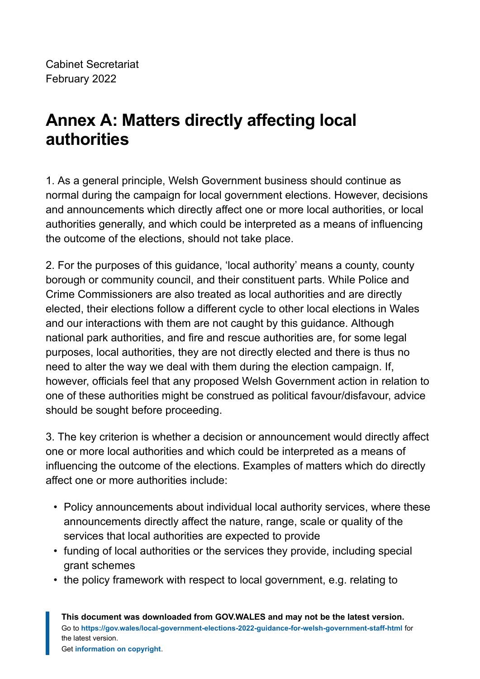### <span id="page-11-0"></span>**Annex A: Matters directly affecting local authorities**

1. As a general principle, Welsh Government business should continue as normal during the campaign for local government elections. However, decisions and announcements which directly affect one or more local authorities, or local authorities generally, and which could be interpreted as a means of influencing the outcome of the elections, should not take place.

2. For the purposes of this guidance, 'local authority' means a county, county borough or community council, and their constituent parts. While Police and Crime Commissioners are also treated as local authorities and are directly elected, their elections follow a different cycle to other local elections in Wales and our interactions with them are not caught by this guidance. Although national park authorities, and fire and rescue authorities are, for some legal purposes, local authorities, they are not directly elected and there is thus no need to alter the way we deal with them during the election campaign. If, however, officials feel that any proposed Welsh Government action in relation to one of these authorities might be construed as political favour/disfavour, advice should be sought before proceeding.

3. The key criterion is whether a decision or announcement would directly affect one or more local authorities and which could be interpreted as a means of influencing the outcome of the elections. Examples of matters which do directly affect one or more authorities include:

- Policy announcements about individual local authority services, where these announcements directly affect the nature, range, scale or quality of the services that local authorities are expected to provide
- funding of local authorities or the services they provide, including special grant schemes
- the policy framework with respect to local government, e.g. relating to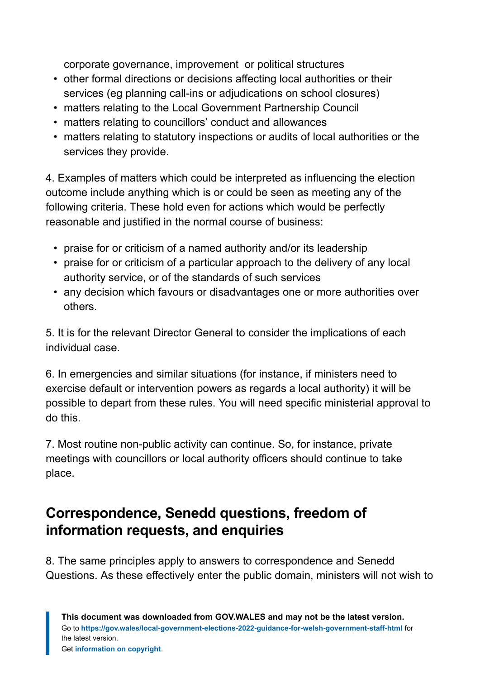corporate governance, improvement or political structures

- other formal directions or decisions affecting local authorities or their services (eg planning call-ins or adjudications on school closures)
- matters relating to the Local Government Partnership Council
- matters relating to councillors' conduct and allowances
- matters relating to statutory inspections or audits of local authorities or the services they provide.

4. Examples of matters which could be interpreted as influencing the election outcome include anything which is or could be seen as meeting any of the following criteria. These hold even for actions which would be perfectly reasonable and justified in the normal course of business:

- praise for or criticism of a named authority and/or its leadership
- praise for or criticism of a particular approach to the delivery of any local authority service, or of the standards of such services
- any decision which favours or disadvantages one or more authorities over others.

5. It is for the relevant Director General to consider the implications of each individual case.

6. In emergencies and similar situations (for instance, if ministers need to exercise default or intervention powers as regards a local authority) it will be possible to depart from these rules. You will need specific ministerial approval to do this.

7. Most routine non-public activity can continue. So, for instance, private meetings with councillors or local authority officers should continue to take place.

#### **Correspondence, Senedd questions, freedom of information requests, and enquiries**

8. The same principles apply to answers to correspondence and Senedd Questions. As these effectively enter the public domain, ministers will not wish to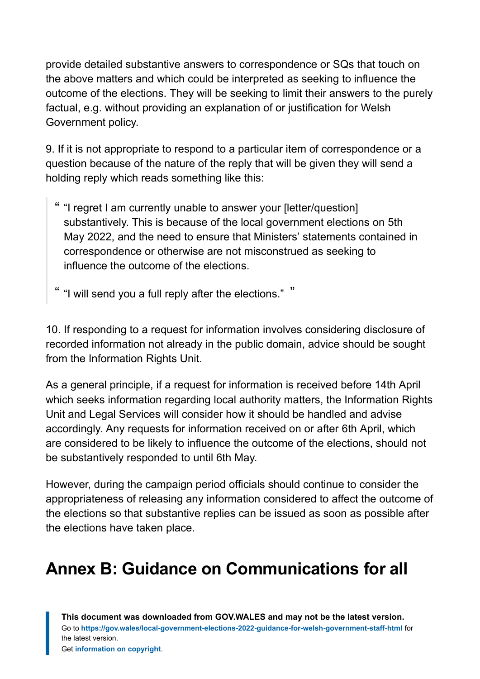provide detailed substantive answers to correspondence or SQs that touch on the above matters and which could be interpreted as seeking to influence the outcome of the elections. They will be seeking to limit their answers to the purely factual, e.g. without providing an explanation of or justification for Welsh Government policy.

9. If it is not appropriate to respond to a particular item of correspondence or a question because of the nature of the reply that will be given they will send a holding reply which reads something like this:

- " "I regret I am currently unable to answer your [letter/question] substantively. This is because of the local government elections on 5th May 2022, and the need to ensure that Ministers' statements contained in correspondence or otherwise are not misconstrued as seeking to influence the outcome of the elections.
- " I will send you a full reply after the elections." "

10. If responding to a request for information involves considering disclosure of recorded information not already in the public domain, advice should be sought from the Information Rights Unit.

As a general principle, if a request for information is received before 14th April which seeks information regarding local authority matters, the Information Rights Unit and Legal Services will consider how it should be handled and advise accordingly. Any requests for information received on or after 6th April, which are considered to be likely to influence the outcome of the elections, should not be substantively responded to until 6th May.

However, during the campaign period officials should continue to consider the appropriateness of releasing any information considered to affect the outcome of the elections so that substantive replies can be issued as soon as possible after the elections have taken place.

### <span id="page-13-0"></span>**Annex B: Guidance on Communications for all**

**This document was downloaded from GOV.WALES and may not be the latest version.** Go to **<https://gov.wales/local-government-elections-2022-guidance-for-welsh-government-staff-html>** for the latest version. Get **[information on copyright](https://gov.wales/copyright-statement)**.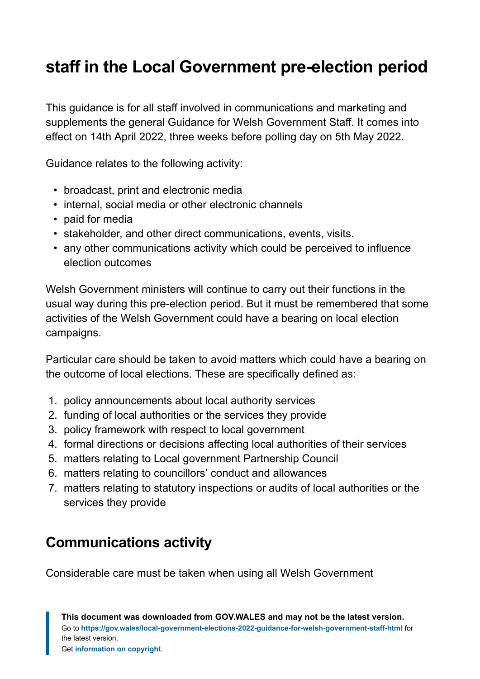### **staff in the Local Government pre-election period**

This guidance is for all staff involved in communications and marketing and supplements the general Guidance for Welsh Government Staff. It comes into effect on 14th April 2022, three weeks before polling day on 5th May 2022.

Guidance relates to the following activity:

- broadcast, print and electronic media
- internal, social media or other electronic channels
- paid for media
- stakeholder, and other direct communications, events, visits.
- any other communications activity which could be perceived to influence election outcomes

Welsh Government ministers will continue to carry out their functions in the usual way during this pre-election period. But it must be remembered that some activities of the Welsh Government could have a bearing on local election campaigns.

Particular care should be taken to avoid matters which could have a bearing on the outcome of local elections. These are specifically defined as:

- 1. policy announcements about local authority services
- 2. funding of local authorities or the services they provide
- 3. policy framework with respect to local government
- 4. formal directions or decisions affecting local authorities of their services
- 5. matters relating to Local government Partnership Council
- 6. matters relating to councillors' conduct and allowances
- 7. matters relating to statutory inspections or audits of local authorities or the services they provide

#### **Communications activity**

Considerable care must be taken when using all Welsh Government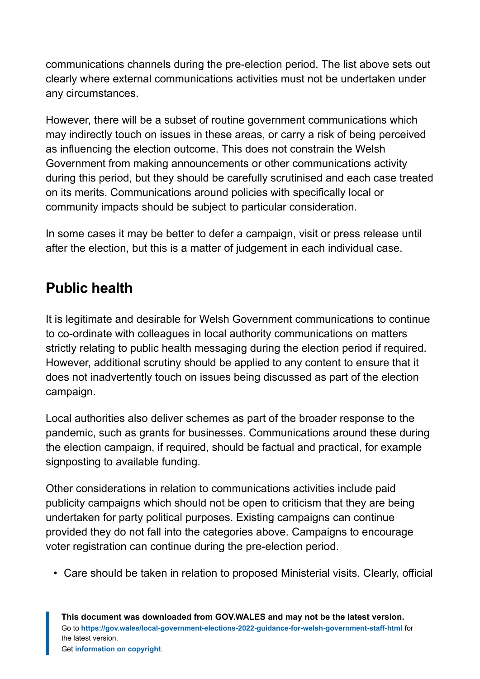communications channels during the pre-election period. The list above sets out clearly where external communications activities must not be undertaken under any circumstances.

However, there will be a subset of routine government communications which may indirectly touch on issues in these areas, or carry a risk of being perceived as influencing the election outcome. This does not constrain the Welsh Government from making announcements or other communications activity during this period, but they should be carefully scrutinised and each case treated on its merits. Communications around policies with specifically local or community impacts should be subject to particular consideration.

In some cases it may be better to defer a campaign, visit or press release until after the election, but this is a matter of judgement in each individual case.

#### **Public health**

It is legitimate and desirable for Welsh Government communications to continue to co-ordinate with colleagues in local authority communications on matters strictly relating to public health messaging during the election period if required. However, additional scrutiny should be applied to any content to ensure that it does not inadvertently touch on issues being discussed as part of the election campaign.

Local authorities also deliver schemes as part of the broader response to the pandemic, such as grants for businesses. Communications around these during the election campaign, if required, should be factual and practical, for example signposting to available funding.

Other considerations in relation to communications activities include paid publicity campaigns which should not be open to criticism that they are being undertaken for party political purposes. Existing campaigns can continue provided they do not fall into the categories above. Campaigns to encourage voter registration can continue during the pre-election period.

• Care should be taken in relation to proposed Ministerial visits. Clearly, official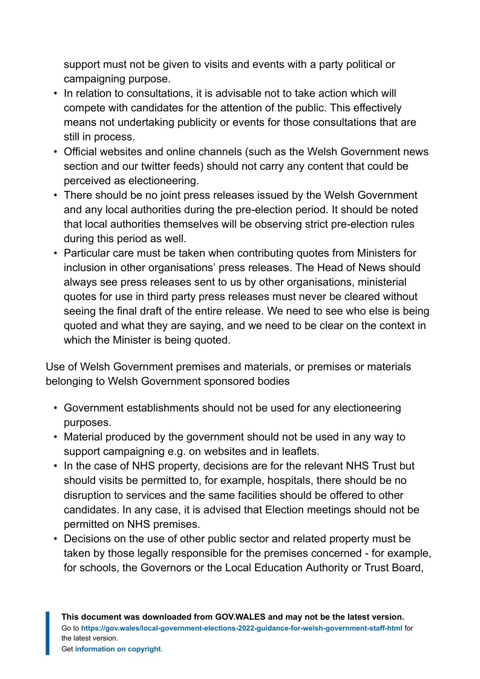support must not be given to visits and events with a party political or campaigning purpose.

- In relation to consultations, it is advisable not to take action which will compete with candidates for the attention of the public. This effectively means not undertaking publicity or events for those consultations that are still in process.
- Official websites and online channels (such as the Welsh Government news section and our twitter feeds) should not carry any content that could be perceived as electioneering.
- There should be no joint press releases issued by the Welsh Government and any local authorities during the pre-election period. It should be noted that local authorities themselves will be observing strict pre-election rules during this period as well.
- Particular care must be taken when contributing quotes from Ministers for inclusion in other organisations' press releases. The Head of News should always see press releases sent to us by other organisations, ministerial quotes for use in third party press releases must never be cleared without seeing the final draft of the entire release. We need to see who else is being quoted and what they are saying, and we need to be clear on the context in which the Minister is being quoted.

Use of Welsh Government premises and materials, or premises or materials belonging to Welsh Government sponsored bodies

- Government establishments should not be used for any electioneering purposes.
- Material produced by the government should not be used in any way to support campaigning e.g. on websites and in leaflets.
- In the case of NHS property, decisions are for the relevant NHS Trust but should visits be permitted to, for example, hospitals, there should be no disruption to services and the same facilities should be offered to other candidates. In any case, it is advised that Election meetings should not be permitted on NHS premises.
- Decisions on the use of other public sector and related property must be taken by those legally responsible for the premises concerned - for example, for schools, the Governors or the Local Education Authority or Trust Board,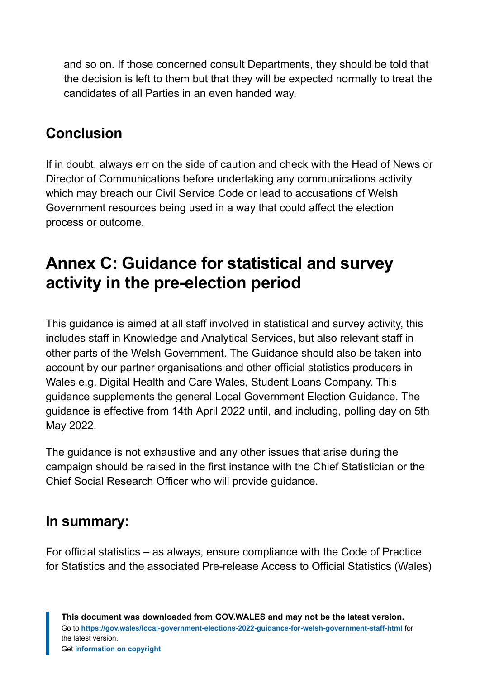and so on. If those concerned consult Departments, they should be told that the decision is left to them but that they will be expected normally to treat the candidates of all Parties in an even handed way.

#### **Conclusion**

If in doubt, always err on the side of caution and check with the Head of News or Director of Communications before undertaking any communications activity which may breach our Civil Service Code or lead to accusations of Welsh Government resources being used in a way that could affect the election process or outcome.

### <span id="page-17-0"></span>**Annex C: Guidance for statistical and survey activity in the pre-election period**

This guidance is aimed at all staff involved in statistical and survey activity, this includes staff in Knowledge and Analytical Services, but also relevant staff in other parts of the Welsh Government. The Guidance should also be taken into account by our partner organisations and other official statistics producers in Wales e.g. Digital Health and Care Wales, Student Loans Company. This guidance supplements the general Local Government Election Guidance. The guidance is effective from 14th April 2022 until, and including, polling day on 5th May 2022.

The guidance is not exhaustive and any other issues that arise during the campaign should be raised in the first instance with the Chief Statistician or the Chief Social Research Officer who will provide guidance.

#### **In summary:**

For official statistics – as always, ensure compliance with the Code of Practice for Statistics and the associated Pre-release Access to Official Statistics (Wales)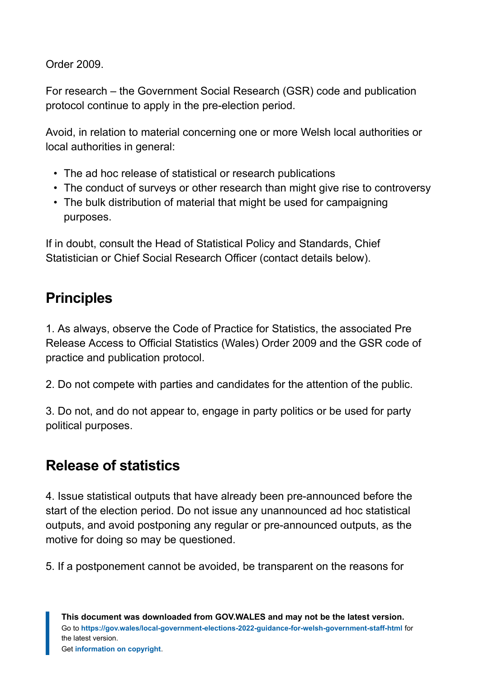Order 2009.

For research – the Government Social Research (GSR) code and publication protocol continue to apply in the pre-election period.

Avoid, in relation to material concerning one or more Welsh local authorities or local authorities in general:

- The ad hoc release of statistical or research publications
- The conduct of surveys or other research than might give rise to controversy
- The bulk distribution of material that might be used for campaigning purposes.

If in doubt, consult the Head of Statistical Policy and Standards, Chief Statistician or Chief Social Research Officer (contact details below).

#### **Principles**

1. As always, observe the Code of Practice for Statistics, the associated Pre Release Access to Official Statistics (Wales) Order 2009 and the GSR code of practice and publication protocol.

2. Do not compete with parties and candidates for the attention of the public.

3. Do not, and do not appear to, engage in party politics or be used for party political purposes.

#### **Release of statistics**

4. Issue statistical outputs that have already been pre-announced before the start of the election period. Do not issue any unannounced ad hoc statistical outputs, and avoid postponing any regular or pre-announced outputs, as the motive for doing so may be questioned.

5. If a postponement cannot be avoided, be transparent on the reasons for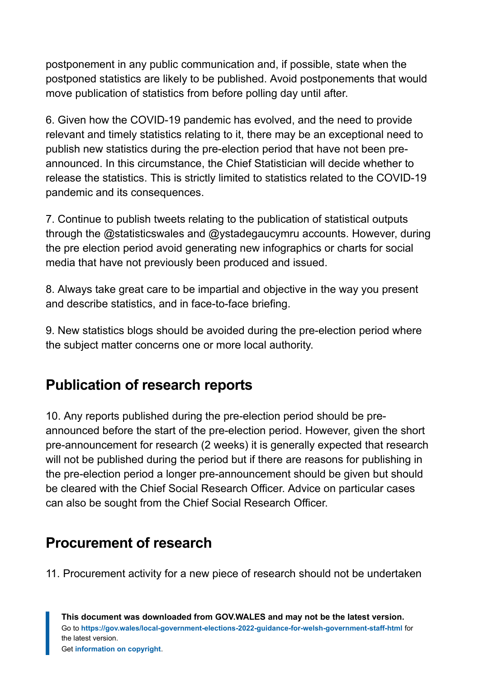postponement in any public communication and, if possible, state when the postponed statistics are likely to be published. Avoid postponements that would move publication of statistics from before polling day until after.

6. Given how the COVID-19 pandemic has evolved, and the need to provide relevant and timely statistics relating to it, there may be an exceptional need to publish new statistics during the pre-election period that have not been preannounced. In this circumstance, the Chief Statistician will decide whether to release the statistics. This is strictly limited to statistics related to the COVID-19 pandemic and its consequences.

7. Continue to publish tweets relating to the publication of statistical outputs through the @statisticswales and @ystadegaucymru accounts. However, during the pre election period avoid generating new infographics or charts for social media that have not previously been produced and issued.

8. Always take great care to be impartial and objective in the way you present and describe statistics, and in face-to-face briefing.

9. New statistics blogs should be avoided during the pre-election period where the subject matter concerns one or more local authority.

#### **Publication of research reports**

10. Any reports published during the pre-election period should be preannounced before the start of the pre-election period. However, given the short pre-announcement for research (2 weeks) it is generally expected that research will not be published during the period but if there are reasons for publishing in the pre-election period a longer pre-announcement should be given but should be cleared with the Chief Social Research Officer. Advice on particular cases can also be sought from the Chief Social Research Officer.

#### **Procurement of research**

11. Procurement activity for a new piece of research should not be undertaken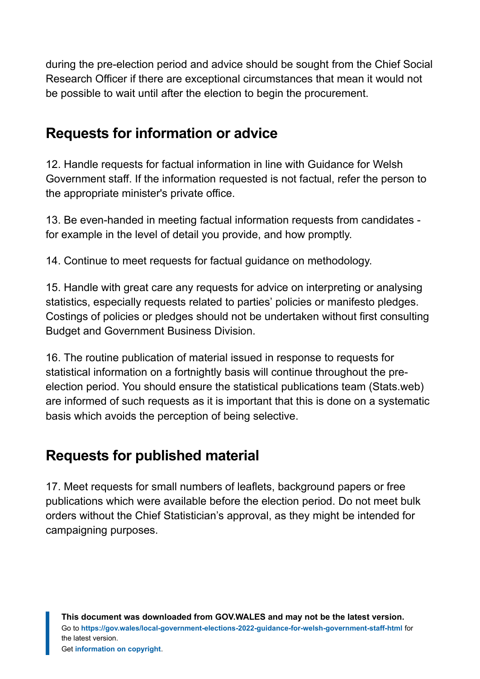during the pre-election period and advice should be sought from the Chief Social Research Officer if there are exceptional circumstances that mean it would not be possible to wait until after the election to begin the procurement.

#### **Requests for information or advice**

12. Handle requests for factual information in line with Guidance for Welsh Government staff. If the information requested is not factual, refer the person to the appropriate minister's private office.

13. Be even-handed in meeting factual information requests from candidates for example in the level of detail you provide, and how promptly.

14. Continue to meet requests for factual guidance on methodology.

15. Handle with great care any requests for advice on interpreting or analysing statistics, especially requests related to parties' policies or manifesto pledges. Costings of policies or pledges should not be undertaken without first consulting Budget and Government Business Division.

16. The routine publication of material issued in response to requests for statistical information on a fortnightly basis will continue throughout the preelection period. You should ensure the statistical publications team (Stats.web) are informed of such requests as it is important that this is done on a systematic basis which avoids the perception of being selective.

#### **Requests for published material**

17. Meet requests for small numbers of leaflets, background papers or free publications which were available before the election period. Do not meet bulk orders without the Chief Statistician's approval, as they might be intended for campaigning purposes.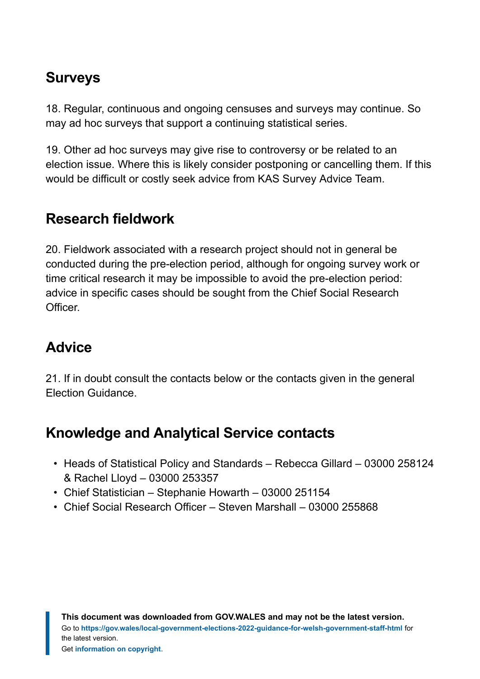#### **Surveys**

18. Regular, continuous and ongoing censuses and surveys may continue. So may ad hoc surveys that support a continuing statistical series.

19. Other ad hoc surveys may give rise to controversy or be related to an election issue. Where this is likely consider postponing or cancelling them. If this would be difficult or costly seek advice from KAS Survey Advice Team.

#### **Research fieldwork**

20. Fieldwork associated with a research project should not in general be conducted during the pre-election period, although for ongoing survey work or time critical research it may be impossible to avoid the pre-election period: advice in specific cases should be sought from the Chief Social Research Officer.

#### **Advice**

21. If in doubt consult the contacts below or the contacts given in the general Election Guidance.

#### **Knowledge and Analytical Service contacts**

- Heads of Statistical Policy and Standards Rebecca Gillard 03000 258124 & Rachel Lloyd – 03000 253357
- Chief Statistician Stephanie Howarth 03000 251154
- Chief Social Research Officer Steven Marshall 03000 255868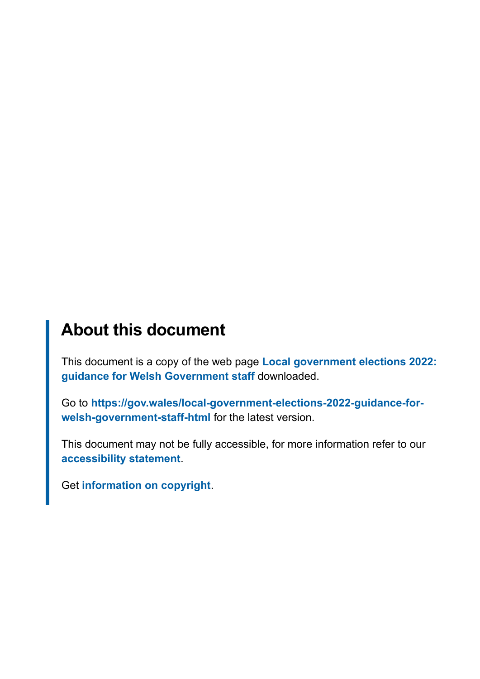#### **About this document**

This document is a copy of the web page **[Local government elections 2022:](https://gov.wales/local-government-elections-2022-guidance-for-welsh-government-staff-html) [guidance for Welsh Government staff](https://gov.wales/local-government-elections-2022-guidance-for-welsh-government-staff-html)** downloaded.

Go to **[https://gov.wales/local-government-elections-2022-guidance-for](https://gov.wales/local-government-elections-2022-guidance-for-welsh-government-staff-html)[welsh-government-staff-html](https://gov.wales/local-government-elections-2022-guidance-for-welsh-government-staff-html)** for the latest version.

This document may not be fully accessible, for more information refer to our **[accessibility statement](https://gov.wales/accessibility-statement-govwales)**.

Get **[information on copyright](https://gov.wales/copyright-statement)**.